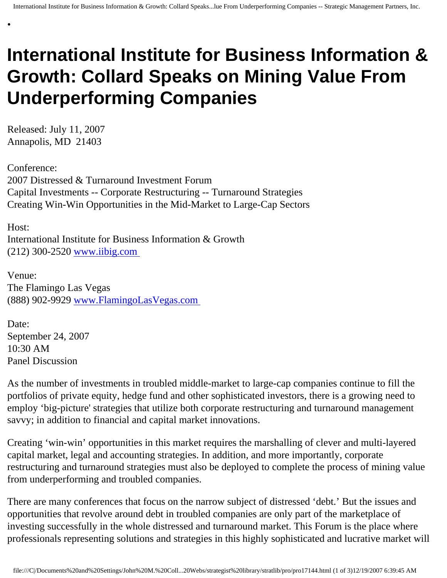## **International Institute for Business Information & Growth: Collard Speaks on Mining Value From Underperforming Companies**

Released: July 11, 2007 Annapolis, MD 21403

•

Conference: 2007 Distressed & Turnaround Investment Forum Capital Investments -- Corporate Restructuring -- Turnaround Strategies Creating Win-Win Opportunities in the Mid-Market to Large-Cap Sectors

Host: International Institute for Business Information & Growth (212) 300-2520 [www.iibig.com](http://www.iibig.com/)

Venue: The Flamingo Las Vegas (888) 902-9929 [www.FlamingoLasVegas.com](http://www.flamingolasvegas.com/)

Date: September 24, 2007 10:30 AM Panel Discussion

As the number of investments in troubled middle-market to large-cap companies continue to fill the portfolios of private equity, hedge fund and other sophisticated investors, there is a growing need to employ 'big-picture' strategies that utilize both corporate restructuring and turnaround management savvy; in addition to financial and capital market innovations.

Creating 'win-win' opportunities in this market requires the marshalling of clever and multi-layered capital market, legal and accounting strategies. In addition, and more importantly, corporate restructuring and turnaround strategies must also be deployed to complete the process of mining value from underperforming and troubled companies.

There are many conferences that focus on the narrow subject of distressed 'debt.' But the issues and opportunities that revolve around debt in troubled companies are only part of the marketplace of investing successfully in the whole distressed and turnaround market. This Forum is the place where professionals representing solutions and strategies in this highly sophisticated and lucrative market will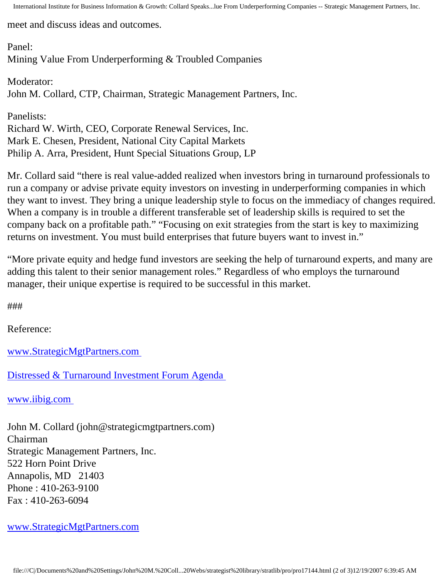International Institute for Business Information & Growth: Collard Speaks...lue From Underperforming Companies -- Strategic Management Partners, Inc.

meet and discuss ideas and outcomes.

Panel: Mining Value From Underperforming & Troubled Companies

Moderator: John M. Collard, CTP, Chairman, Strategic Management Partners, Inc.

Panelists: Richard W. Wirth, CEO, Corporate Renewal Services, Inc. Mark E. Chesen, President, National City Capital Markets Philip A. Arra, President, Hunt Special Situations Group, LP

Mr. Collard said "there is real value-added realized when investors bring in turnaround professionals to run a company or advise private equity investors on investing in underperforming companies in which they want to invest. They bring a unique leadership style to focus on the immediacy of changes required. When a company is in trouble a different transferable set of leadership skills is required to set the company back on a profitable path." "Focusing on exit strategies from the start is key to maximizing returns on investment. You must build enterprises that future buyers want to invest in."

"More private equity and hedge fund investors are seeking the help of turnaround experts, and many are adding this talent to their senior management roles." Regardless of who employs the turnaround manager, their unique expertise is required to be successful in this market.

###

Reference:

[www.StrategicMgtPartners.com](http://www.strategicmgtpartners.com/)

[Distressed & Turnaround Investment Forum Agenda](http://www. iibig.com/conferences/F0701/overview.html) 

[www.iibig.com](http://www.iibig.com/)

John M. Collard (john@strategicmgtpartners.com) Chairman Strategic Management Partners, Inc. 522 Horn Point Drive Annapolis, MD 21403 Phone : 410-263-9100 Fax : 410-263-6094

[www.StrategicMgtPartners.com](http://www.strategicmgtpartners.com/)